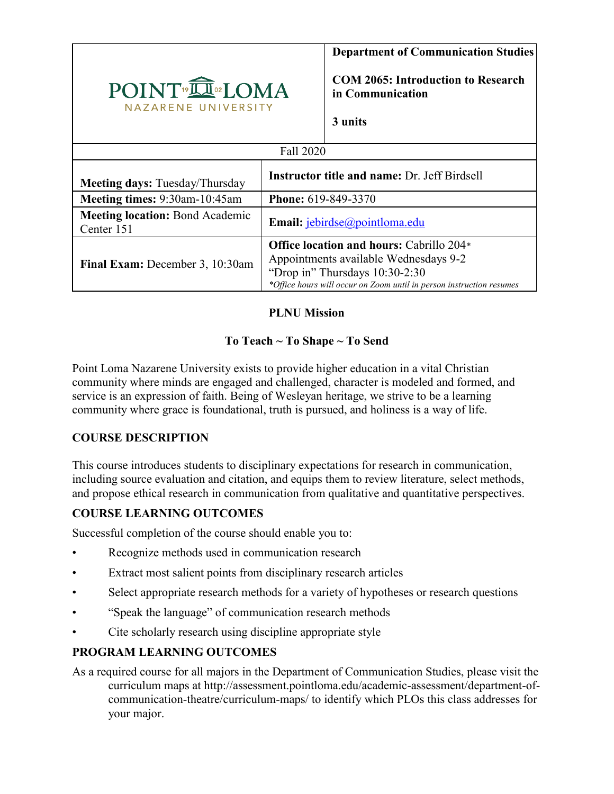

### **PLNU Mission**

## **To Teach ~ To Shape ~ To Send**

Point Loma Nazarene University exists to provide higher education in a vital Christian community where minds are engaged and challenged, character is modeled and formed, and service is an expression of faith. Being of Wesleyan heritage, we strive to be a learning community where grace is foundational, truth is pursued, and holiness is a way of life.

## **COURSE DESCRIPTION**

This course introduces students to disciplinary expectations for research in communication, including source evaluation and citation, and equips them to review literature, select methods, and propose ethical research in communication from qualitative and quantitative perspectives.

## **COURSE LEARNING OUTCOMES**

Successful completion of the course should enable you to:

- Recognize methods used in communication research
- Extract most salient points from disciplinary research articles
- Select appropriate research methods for a variety of hypotheses or research questions
- "Speak the language" of communication research methods
- Cite scholarly research using discipline appropriate style

## **PROGRAM LEARNING OUTCOMES**

As a required course for all majors in the Department of Communication Studies, please visit the curriculum maps at http://assessment.pointloma.edu/academic-assessment/department-ofcommunication-theatre/curriculum-maps/ to identify which PLOs this class addresses for your major.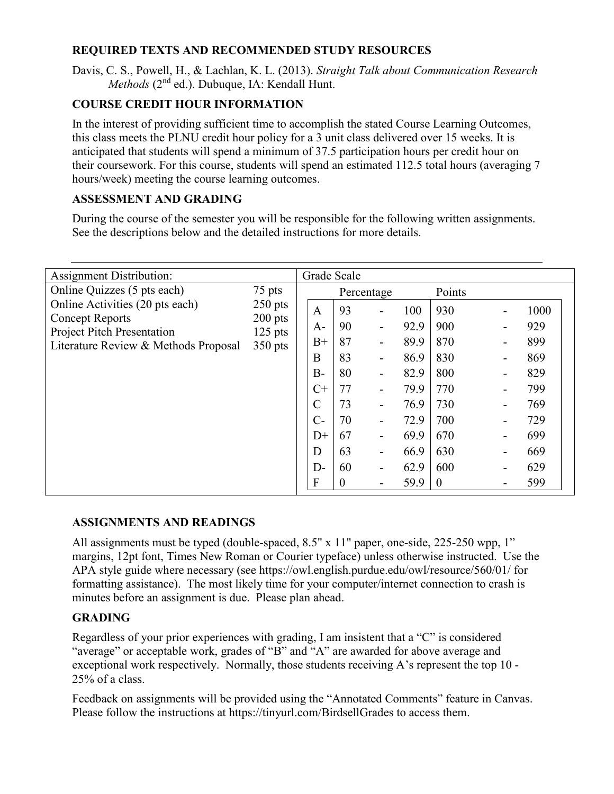### **REQUIRED TEXTS AND RECOMMENDED STUDY RESOURCES**

Davis, C. S., Powell, H., & Lachlan, K. L. (2013). *Straight Talk about Communication Research Methods* (2nd ed.). Dubuque, IA: Kendall Hunt.

# **COURSE CREDIT HOUR INFORMATION**

In the interest of providing sufficient time to accomplish the stated Course Learning Outcomes, this class meets the PLNU credit hour policy for a 3 unit class delivered over 15 weeks. It is anticipated that students will spend a minimum of 37.5 participation hours per credit hour on their coursework. For this course, students will spend an estimated 112.5 total hours (averaging 7 hours/week) meeting the course learning outcomes.

### **ASSESSMENT AND GRADING**

During the course of the semester you will be responsible for the following written assignments. See the descriptions below and the detailed instructions for more details.

| <b>Assignment Distribution:</b>                             |                                                            |               | Grade Scale      |                          |        |                  |  |      |  |
|-------------------------------------------------------------|------------------------------------------------------------|---------------|------------------|--------------------------|--------|------------------|--|------|--|
| Online Quizzes (5 pts each)                                 | 75 pts<br>$250$ pts<br>$200$ pts<br>$125$ pts<br>$350$ pts | Percentage    |                  |                          | Points |                  |  |      |  |
| Online Activities (20 pts each)                             |                                                            | $\mathbf{A}$  | 93               | $\overline{a}$           | 100    | 930              |  | 1000 |  |
| <b>Concept Reports</b><br><b>Project Pitch Presentation</b> |                                                            | $A-$          | 90               | $\overline{\phantom{a}}$ | 92.9   | 900              |  | 929  |  |
| Literature Review & Methods Proposal                        |                                                            | $B+$          | 87               | $\overline{\phantom{a}}$ | 89.9   | 870              |  | 899  |  |
|                                                             |                                                            | B             | 83               | $\overline{a}$           | 86.9   | 830              |  | 869  |  |
|                                                             |                                                            | $B -$         | 80               | $\overline{\phantom{a}}$ | 82.9   | 800              |  | 829  |  |
|                                                             |                                                            | $C+$          | 77               | $\blacksquare$           | 79.9   | 770              |  | 799  |  |
|                                                             |                                                            | $\mathcal{C}$ | 73               | $\overline{\phantom{a}}$ | 76.9   | 730              |  | 769  |  |
|                                                             |                                                            | $C-$          | 70               | $\overline{\phantom{0}}$ | 72.9   | 700              |  | 729  |  |
|                                                             |                                                            | $D+$          | 67               | $\overline{\phantom{a}}$ | 69.9   | 670              |  | 699  |  |
|                                                             |                                                            | D             | 63               | $\blacksquare$           | 66.9   | 630              |  | 669  |  |
|                                                             |                                                            | $D-$          | 60               | $\blacksquare$           | 62.9   | 600              |  | 629  |  |
|                                                             |                                                            | ${\bf F}$     | $\boldsymbol{0}$ | $\overline{a}$           | 59.9   | $\boldsymbol{0}$ |  | 599  |  |

#### **ASSIGNMENTS AND READINGS**

All assignments must be typed (double-spaced, 8.5" x 11" paper, one-side, 225-250 wpp, 1" margins, 12pt font, Times New Roman or Courier typeface) unless otherwise instructed. Use the APA style guide where necessary (see https://owl.english.purdue.edu/owl/resource/560/01/ for formatting assistance). The most likely time for your computer/internet connection to crash is minutes before an assignment is due. Please plan ahead.

#### **GRADING**

Regardless of your prior experiences with grading, I am insistent that a "C" is considered "average" or acceptable work, grades of "B" and "A" are awarded for above average and exceptional work respectively. Normally, those students receiving A's represent the top 10 - 25% of a class.

Feedback on assignments will be provided using the "Annotated Comments" feature in Canvas. Please follow the instructions at https://tinyurl.com/BirdsellGrades to access them.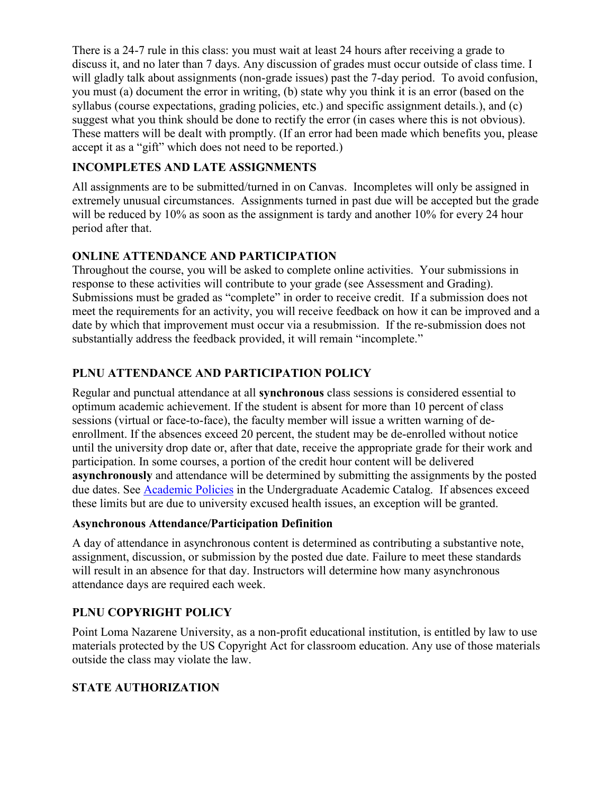There is a 24-7 rule in this class: you must wait at least 24 hours after receiving a grade to discuss it, and no later than 7 days. Any discussion of grades must occur outside of class time. I will gladly talk about assignments (non-grade issues) past the 7-day period. To avoid confusion, you must (a) document the error in writing, (b) state why you think it is an error (based on the syllabus (course expectations, grading policies, etc.) and specific assignment details.), and (c) suggest what you think should be done to rectify the error (in cases where this is not obvious). These matters will be dealt with promptly. (If an error had been made which benefits you, please accept it as a "gift" which does not need to be reported.)

## **INCOMPLETES AND LATE ASSIGNMENTS**

All assignments are to be submitted/turned in on Canvas. Incompletes will only be assigned in extremely unusual circumstances. Assignments turned in past due will be accepted but the grade will be reduced by 10% as soon as the assignment is tardy and another 10% for every 24 hour period after that.

### **ONLINE ATTENDANCE AND PARTICIPATION**

Throughout the course, you will be asked to complete online activities. Your submissions in response to these activities will contribute to your grade (see Assessment and Grading). Submissions must be graded as "complete" in order to receive credit. If a submission does not meet the requirements for an activity, you will receive feedback on how it can be improved and a date by which that improvement must occur via a resubmission. If the re-submission does not substantially address the feedback provided, it will remain "incomplete."

# **PLNU ATTENDANCE AND PARTICIPATION POLICY**

Regular and punctual attendance at all **synchronous** class sessions is considered essential to optimum academic achievement. If the student is absent for more than 10 percent of class sessions (virtual or face-to-face), the faculty member will issue a written warning of deenrollment. If the absences exceed 20 percent, the student may be de-enrolled without notice until the university drop date or, after that date, receive the appropriate grade for their work and participation. In some courses, a portion of the credit hour content will be delivered **asynchronously** and attendance will be determined by submitting the assignments by the posted due dates. See [Academic Policies](https://catalog.pointloma.edu/content.php?catoid=46&navoid=2650#Class_Attendance) in the Undergraduate Academic Catalog. If absences exceed these limits but are due to university excused health issues, an exception will be granted.

#### **Asynchronous Attendance/Participation Definition**

A day of attendance in asynchronous content is determined as contributing a substantive note, assignment, discussion, or submission by the posted due date. Failure to meet these standards will result in an absence for that day. Instructors will determine how many asynchronous attendance days are required each week.

## **PLNU COPYRIGHT POLICY**

Point Loma Nazarene University, as a non-profit educational institution, is entitled by law to use materials protected by the US Copyright Act for classroom education. Any use of those materials outside the class may violate the law.

## **STATE AUTHORIZATION**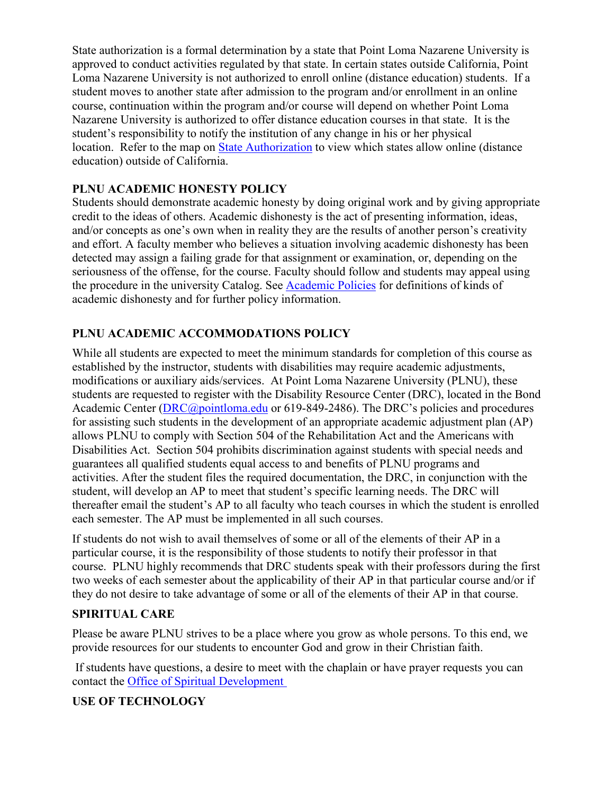State authorization is a formal determination by a state that Point Loma Nazarene University is approved to conduct activities regulated by that state. In certain states outside California, Point Loma Nazarene University is not authorized to enroll online (distance education) students. If a student moves to another state after admission to the program and/or enrollment in an online course, continuation within the program and/or course will depend on whether Point Loma Nazarene University is authorized to offer distance education courses in that state. It is the student's responsibility to notify the institution of any change in his or her physical location. Refer to the map on [State Authorization](https://www.pointloma.edu/offices/office-institutional-effectiveness-research/disclosures) to view which states allow online (distance education) outside of California.

### **PLNU ACADEMIC HONESTY POLICY**

Students should demonstrate academic honesty by doing original work and by giving appropriate credit to the ideas of others. Academic dishonesty is the act of presenting information, ideas, and/or concepts as one's own when in reality they are the results of another person's creativity and effort. A faculty member who believes a situation involving academic dishonesty has been detected may assign a failing grade for that assignment or examination, or, depending on the seriousness of the offense, for the course. Faculty should follow and students may appeal using the procedure in the university Catalog. See [Academic Policies](https://catalog.pointloma.edu/content.php?catoid=41&navoid=2435#Academic_Honesty) for definitions of kinds of academic dishonesty and for further policy information.

### **PLNU ACADEMIC ACCOMMODATIONS POLICY**

While all students are expected to meet the minimum standards for completion of this course as established by the instructor, students with disabilities may require academic adjustments, modifications or auxiliary aids/services. At Point Loma Nazarene University (PLNU), these students are requested to register with the Disability Resource Center (DRC), located in the Bond Academic Center [\(DRC@pointloma.edu](mailto:DRC@pointloma.edu) or 619-849-2486). The DRC's policies and procedures for assisting such students in the development of an appropriate academic adjustment plan (AP) allows PLNU to comply with Section 504 of the Rehabilitation Act and the Americans with Disabilities Act. Section 504 prohibits discrimination against students with special needs and guarantees all qualified students equal access to and benefits of PLNU programs and activities. After the student files the required documentation, the DRC, in conjunction with the student, will develop an AP to meet that student's specific learning needs. The DRC will thereafter email the student's AP to all faculty who teach courses in which the student is enrolled each semester. The AP must be implemented in all such courses.

If students do not wish to avail themselves of some or all of the elements of their AP in a particular course, it is the responsibility of those students to notify their professor in that course. PLNU highly recommends that DRC students speak with their professors during the first two weeks of each semester about the applicability of their AP in that particular course and/or if they do not desire to take advantage of some or all of the elements of their AP in that course.

#### **SPIRITUAL CARE**

Please be aware PLNU strives to be a place where you grow as whole persons. To this end, we provide resources for our students to encounter God and grow in their Christian faith.

If students have questions, a desire to meet with the chaplain or have prayer requests you can contact the [Office of Spiritual Development](https://www.pointloma.edu/offices/spiritual-development)

#### **USE OF TECHNOLOGY**